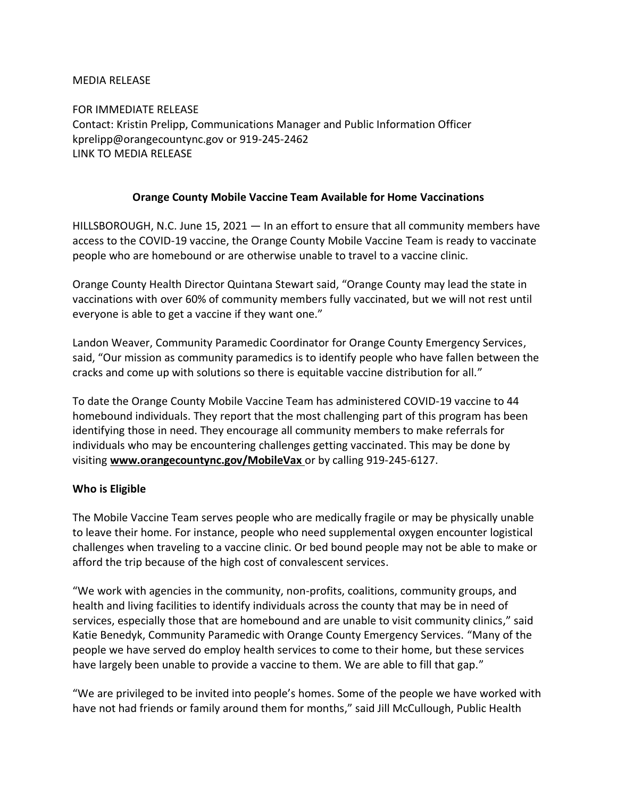#### MEDIA RELEASE

FOR IMMEDIATE RELEASE Contact: Kristin Prelipp, Communications Manager and Public Information Officer kprelipp@orangecountync.gov or 919-245-2462 LINK TO MEDIA RELEASE

#### **Orange County Mobile Vaccine Team Available for Home Vaccinations**

HILLSBOROUGH, N.C. June 15, 2021 ― In an effort to ensure that all community members have access to the COVID-19 vaccine, the Orange County Mobile Vaccine Team is ready to vaccinate people who are homebound or are otherwise unable to travel to a vaccine clinic.

Orange County Health Director Quintana Stewart said, "Orange County may lead the state in vaccinations with over 60% of community members fully vaccinated, but we will not rest until everyone is able to get a vaccine if they want one."

Landon Weaver, Community Paramedic Coordinator for Orange County Emergency Services, said, "Our mission as community paramedics is to identify people who have fallen between the cracks and come up with solutions so there is equitable vaccine distribution for all."

To date the Orange County Mobile Vaccine Team has administered COVID-19 vaccine to 44 homebound individuals. They report that the most challenging part of this program has been identifying those in need. They encourage all community members to make referrals for individuals who may be encountering challenges getting vaccinated. This may be done by visiting **[www.orangecountync.gov/MobileVax](http://www.orangecountync.gov/MobileVax)** or by calling 919-245-6127.

### **Who is Eligible**

The Mobile Vaccine Team serves people who are medically fragile or may be physically unable to leave their home. For instance, people who need supplemental oxygen encounter logistical challenges when traveling to a vaccine clinic. Or bed bound people may not be able to make or afford the trip because of the high cost of convalescent services.

"We work with agencies in the community, non-profits, coalitions, community groups, and health and living facilities to identify individuals across the county that may be in need of services, especially those that are homebound and are unable to visit community clinics," said Katie Benedyk, Community Paramedic with Orange County Emergency Services. "Many of the people we have served do employ health services to come to their home, but these services have largely been unable to provide a vaccine to them. We are able to fill that gap."

"We are privileged to be invited into people's homes. Some of the people we have worked with have not had friends or family around them for months," said Jill McCullough, Public Health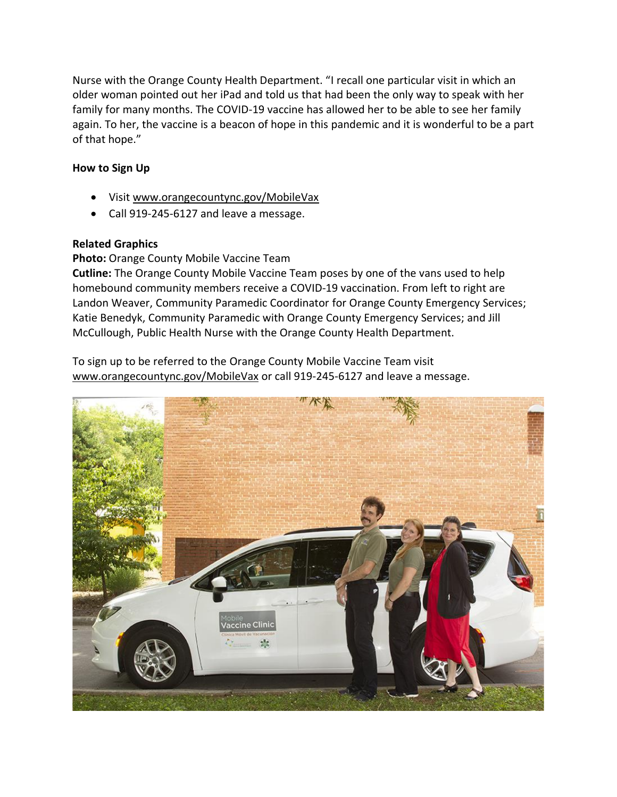Nurse with the Orange County Health Department. "I recall one particular visit in which an older woman pointed out her iPad and told us that had been the only way to speak with her family for many months. The COVID-19 vaccine has allowed her to be able to see her family again. To her, the vaccine is a beacon of hope in this pandemic and it is wonderful to be a part of that hope."

## **How to Sign Up**

- Visi[t www.orangecountync.gov/MobileVax](http://www.orangecountync.gov/MobileVax)
- Call 919-245-6127 and leave a message.

# **Related Graphics**

# **Photo:** Orange County Mobile Vaccine Team

**Cutline:** The Orange County Mobile Vaccine Team poses by one of the vans used to help homebound community members receive a COVID-19 vaccination. From left to right are Landon Weaver, Community Paramedic Coordinator for Orange County Emergency Services; Katie Benedyk, Community Paramedic with Orange County Emergency Services; and Jill McCullough, Public Health Nurse with the Orange County Health Department.

To sign up to be referred to the Orange County Mobile Vaccine Team visit [www.orangecountync.gov/MobileVax](http://www.orangecountync.gov/MobileVax) or call 919-245-6127 and leave a message.

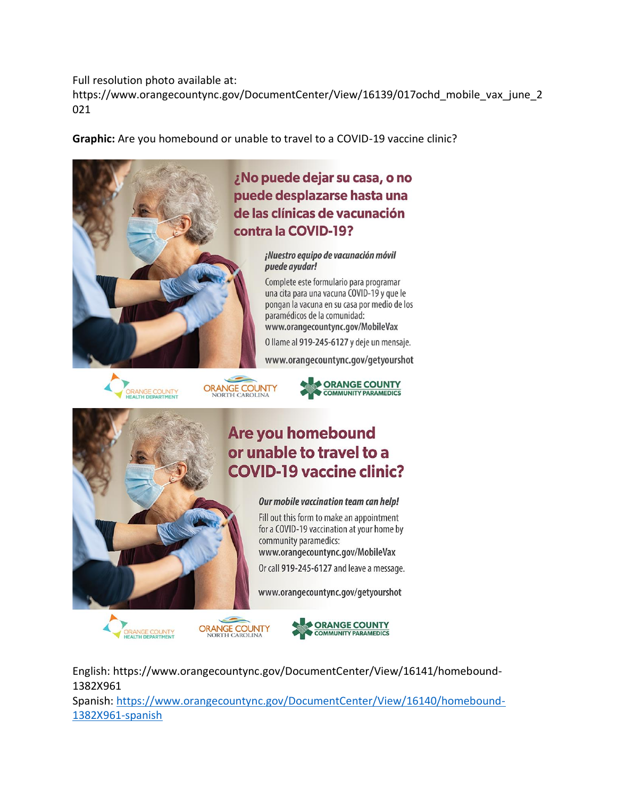Full resolution photo available at:

https://www.orangecountync.gov/DocumentCenter/View/16139/017ochd\_mobile\_vax\_june\_2 021

**Graphic:** Are you homebound or unable to travel to a COVID-19 vaccine clinic?











Our mobile vaccination team can help!

Fill out this form to make an appointment for a COVID-19 vaccination at your home by community paramedics: www.orangecountync.gov/MobileVax

Or call 919-245-6127 and leave a message.

www.orangecountync.gov/getyourshot







English: https://www.orangecountync.gov/DocumentCenter/View/16141/homebound-1382X961

Spanish: [https://www.orangecountync.gov/DocumentCenter/View/16140/homebound-](https://www.orangecountync.gov/DocumentCenter/View/16140/homebound-1382X961-spanish)[1382X961-spanish](https://www.orangecountync.gov/DocumentCenter/View/16140/homebound-1382X961-spanish)